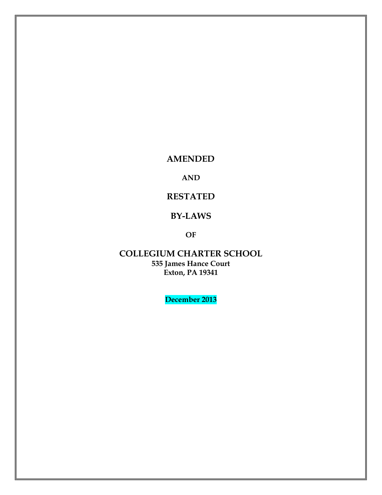**AMENDED**

**AND**

**RESTATED**

# **BY-LAWS**

**OF**

**COLLEGIUM CHARTER SCHOOL 535 James Hance Court Exton, PA 19341**

**December 2013**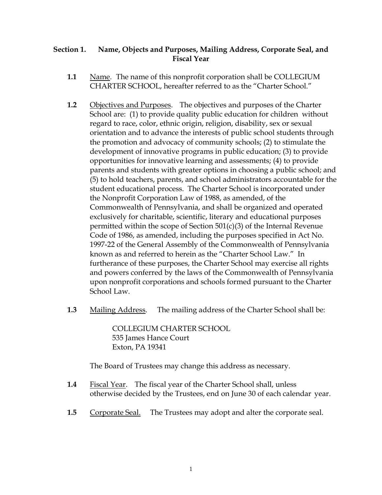# **Section 1. Name, Objects and Purposes, Mailing Address, Corporate Seal, and Fiscal Year**

- **1.1** Name. The name of this nonprofit corporation shall be COLLEGIUM CHARTER SCHOOL, hereafter referred to as the "Charter School."
- **1.2** Objectives and Purposes. The objectives and purposes of the Charter School are: (1) to provide quality public education for children without regard to race, color, ethnic origin, religion, disability, sex or sexual orientation and to advance the interests of public school students through the promotion and advocacy of community schools; (2) to stimulate the development of innovative programs in public education; (3) to provide opportunities for innovative learning and assessments; (4) to provide parents and students with greater options in choosing a public school; and (5) to hold teachers, parents, and school administrators accountable for the student educational process. The Charter School is incorporated under the Nonprofit Corporation Law of 1988, as amended, of the Commonwealth of Pennsylvania, and shall be organized and operated exclusively for charitable, scientific, literary and educational purposes permitted within the scope of Section 501(c)(3) of the Internal Revenue Code of 1986, as amended, including the purposes specified in Act No. 1997-22 of the General Assembly of the Commonwealth of Pennsylvania known as and referred to herein as the "Charter School Law." In furtherance of these purposes, the Charter School may exercise all rights and powers conferred by the laws of the Commonwealth of Pennsylvania upon nonprofit corporations and schools formed pursuant to the Charter School Law.
- **1.3** Mailing Address. The mailing address of the Charter School shall be:

COLLEGIUM CHARTER SCHOOL 535 James Hance Court Exton, PA 19341

The Board of Trustees may change this address as necessary.

- **1.4** Fiscal Year. The fiscal year of the Charter School shall, unless otherwise decided by the Trustees, end on June 30 of each calendar year.
- **1.5** Corporate Seal. The Trustees may adopt and alter the corporate seal.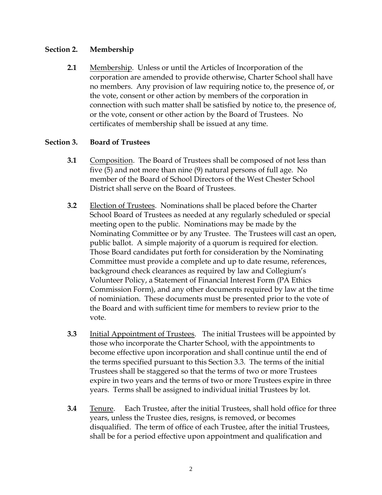### **Section 2. Membership**

**2.1** Membership. Unless or until the Articles of Incorporation of the corporation are amended to provide otherwise, Charter School shall have no members. Any provision of law requiring notice to, the presence of, or the vote, consent or other action by members of the corporation in connection with such matter shall be satisfied by notice to, the presence of, or the vote, consent or other action by the Board of Trustees. No certificates of membership shall be issued at any time.

# **Section 3. Board of Trustees**

- **3.1** Composition. The Board of Trustees shall be composed of not less than five (5) and not more than nine (9) natural persons of full age. No member of the Board of School Directors of the West Chester School District shall serve on the Board of Trustees.
- **3.2** Election of Trustees. Nominations shall be placed before the Charter School Board of Trustees as needed at any regularly scheduled or special meeting open to the public. Nominations may be made by the Nominating Committee or by any Trustee. The Trustees will cast an open, public ballot. A simple majority of a quorum is required for election. Those Board candidates put forth for consideration by the Nominating Committee must provide a complete and up to date resume, references, background check clearances as required by law and Collegium's Volunteer Policy, a Statement of Financial Interest Form (PA Ethics Commission Form), and any other documents required by law at the time of nominiation. These documents must be presented prior to the vote of the Board and with sufficient time for members to review prior to the vote.
- **3.3** Initial Appointment of Trustees. The initial Trustees will be appointed by those who incorporate the Charter School, with the appointments to become effective upon incorporation and shall continue until the end of the terms specified pursuant to this Section 3.3. The terms of the initial Trustees shall be staggered so that the terms of two or more Trustees expire in two years and the terms of two or more Trustees expire in three years. Terms shall be assigned to individual initial Trustees by lot.
- **3.4** Tenure. Each Trustee, after the initial Trustees, shall hold office for three years, unless the Trustee dies, resigns, is removed, or becomes disqualified. The term of office of each Trustee, after the initial Trustees, shall be for a period effective upon appointment and qualification and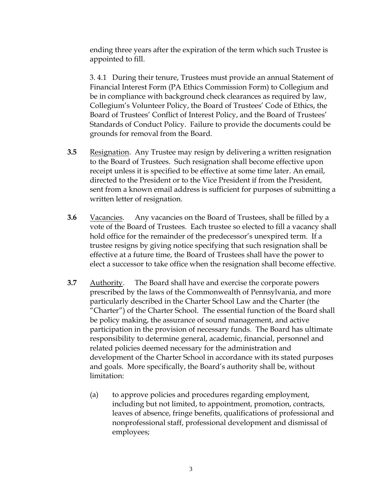ending three years after the expiration of the term which such Trustee is appointed to fill.

3. 4.1 During their tenure, Trustees must provide an annual Statement of Financial Interest Form (PA Ethics Commission Form) to Collegium and be in compliance with background check clearances as required by law, Collegium's Volunteer Policy, the Board of Trustees' Code of Ethics, the Board of Trustees' Conflict of Interest Policy, and the Board of Trustees' Standards of Conduct Policy. Failure to provide the documents could be grounds for removal from the Board.

- **3.5** Resignation. Any Trustee may resign by delivering a written resignation to the Board of Trustees. Such resignation shall become effective upon receipt unless it is specified to be effective at some time later. An email, directed to the President or to the Vice President if from the President, sent from a known email address is sufficient for purposes of submitting a written letter of resignation.
- **3.6** Vacancies. Any vacancies on the Board of Trustees, shall be filled by a vote of the Board of Trustees. Each trustee so elected to fill a vacancy shall hold office for the remainder of the predecessor's unexpired term. If a trustee resigns by giving notice specifying that such resignation shall be effective at a future time, the Board of Trustees shall have the power to elect a successor to take office when the resignation shall become effective.
- **3.7** Authority. The Board shall have and exercise the corporate powers prescribed by the laws of the Commonwealth of Pennsylvania, and more particularly described in the Charter School Law and the Charter (the "Charter") of the Charter School. The essential function of the Board shall be policy making, the assurance of sound management, and active participation in the provision of necessary funds. The Board has ultimate responsibility to determine general, academic, financial, personnel and related policies deemed necessary for the administration and development of the Charter School in accordance with its stated purposes and goals. More specifically, the Board's authority shall be, without limitation:
	- (a) to approve policies and procedures regarding employment, including but not limited, to appointment, promotion, contracts, leaves of absence, fringe benefits, qualifications of professional and nonprofessional staff, professional development and dismissal of employees;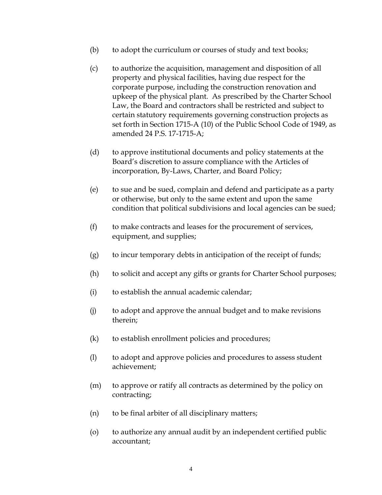- (b) to adopt the curriculum or courses of study and text books;
- (c) to authorize the acquisition, management and disposition of all property and physical facilities, having due respect for the corporate purpose, including the construction renovation and upkeep of the physical plant. As prescribed by the Charter School Law, the Board and contractors shall be restricted and subject to certain statutory requirements governing construction projects as set forth in Section 1715-A (10) of the Public School Code of 1949, as amended 24 P.S. 17-1715-A;
- (d) to approve institutional documents and policy statements at the Board's discretion to assure compliance with the Articles of incorporation, By-Laws, Charter, and Board Policy;
- (e) to sue and be sued, complain and defend and participate as a party or otherwise, but only to the same extent and upon the same condition that political subdivisions and local agencies can be sued;
- (f) to make contracts and leases for the procurement of services, equipment, and supplies;
- (g) to incur temporary debts in anticipation of the receipt of funds;
- (h) to solicit and accept any gifts or grants for Charter School purposes;
- (i) to establish the annual academic calendar;
- (j) to adopt and approve the annual budget and to make revisions therein;
- (k) to establish enrollment policies and procedures;
- (l) to adopt and approve policies and procedures to assess student achievement;
- (m) to approve or ratify all contracts as determined by the policy on contracting;
- (n) to be final arbiter of all disciplinary matters;
- (o) to authorize any annual audit by an independent certified public accountant;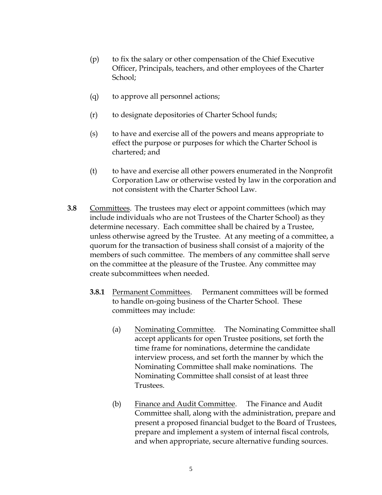- (p) to fix the salary or other compensation of the Chief Executive Officer, Principals, teachers, and other employees of the Charter School;
- (q) to approve all personnel actions;
- (r) to designate depositories of Charter School funds;
- (s) to have and exercise all of the powers and means appropriate to effect the purpose or purposes for which the Charter School is chartered; and
- (t) to have and exercise all other powers enumerated in the Nonprofit Corporation Law or otherwise vested by law in the corporation and not consistent with the Charter School Law.
- **3.8** Committees. The trustees may elect or appoint committees (which may include individuals who are not Trustees of the Charter School) as they determine necessary. Each committee shall be chaired by a Trustee, unless otherwise agreed by the Trustee. At any meeting of a committee, a quorum for the transaction of business shall consist of a majority of the members of such committee. The members of any committee shall serve on the committee at the pleasure of the Trustee. Any committee may create subcommittees when needed.
	- **3.8.1** Permanent Committees. Permanent committees will be formed to handle on-going business of the Charter School. These committees may include:
		- (a) Nominating Committee. The Nominating Committee shall accept applicants for open Trustee positions, set forth the time frame for nominations, determine the candidate interview process, and set forth the manner by which the Nominating Committee shall make nominations. The Nominating Committee shall consist of at least three Trustees.
		- (b) Finance and Audit Committee. The Finance and Audit Committee shall, along with the administration, prepare and present a proposed financial budget to the Board of Trustees, prepare and implement a system of internal fiscal controls, and when appropriate, secure alternative funding sources.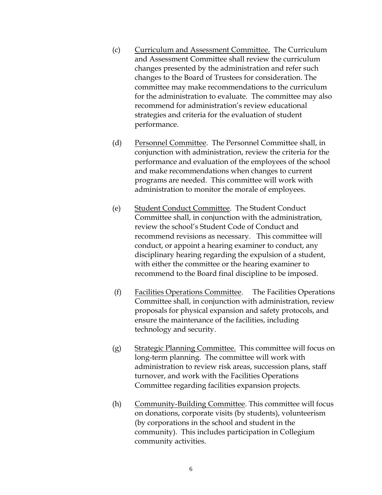- (c) Curriculum and Assessment Committee. The Curriculum and Assessment Committee shall review the curriculum changes presented by the administration and refer such changes to the Board of Trustees for consideration. The committee may make recommendations to the curriculum for the administration to evaluate. The committee may also recommend for administration's review educational strategies and criteria for the evaluation of student performance.
- (d) Personnel Committee. The Personnel Committee shall, in conjunction with administration, review the criteria for the performance and evaluation of the employees of the school and make recommendations when changes to current programs are needed. This committee will work with administration to monitor the morale of employees.
- (e) Student Conduct Committee. The Student Conduct Committee shall, in conjunction with the administration, review the school's Student Code of Conduct and recommend revisions as necessary. This committee will conduct, or appoint a hearing examiner to conduct, any disciplinary hearing regarding the expulsion of a student, with either the committee or the hearing examiner to recommend to the Board final discipline to be imposed.
- (f) Facilities Operations Committee. The Facilities Operations Committee shall, in conjunction with administration, review proposals for physical expansion and safety protocols, and ensure the maintenance of the facilities, including technology and security.
- (g) Strategic Planning Committee. This committee will focus on long-term planning. The committee will work with administration to review risk areas, succession plans, staff turnover, and work with the Facilities Operations Committee regarding facilities expansion projects.
- (h) Community-Building Committee. This committee will focus on donations, corporate visits (by students), volunteerism (by corporations in the school and student in the community). This includes participation in Collegium community activities.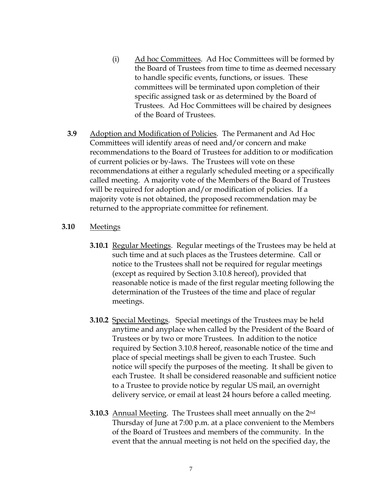- (i) Ad hoc Committees. Ad Hoc Committees will be formed by the Board of Trustees from time to time as deemed necessary to handle specific events, functions, or issues. These committees will be terminated upon completion of their specific assigned task or as determined by the Board of Trustees. Ad Hoc Committees will be chaired by designees of the Board of Trustees.
- **3.9** Adoption and Modification of Policies. The Permanent and Ad Hoc Committees will identify areas of need and/or concern and make recommendations to the Board of Trustees for addition to or modification of current policies or by-laws. The Trustees will vote on these recommendations at either a regularly scheduled meeting or a specifically called meeting. A majority vote of the Members of the Board of Trustees will be required for adoption and/or modification of policies. If a majority vote is not obtained, the proposed recommendation may be returned to the appropriate committee for refinement.

#### **3.10** Meetings

- **3.10.1** Regular Meetings. Regular meetings of the Trustees may be held at such time and at such places as the Trustees determine. Call or notice to the Trustees shall not be required for regular meetings (except as required by Section 3.10.8 hereof), provided that reasonable notice is made of the first regular meeting following the determination of the Trustees of the time and place of regular meetings.
- **3.10.2** Special Meetings. Special meetings of the Trustees may be held anytime and anyplace when called by the President of the Board of Trustees or by two or more Trustees. In addition to the notice required by Section 3.10.8 hereof, reasonable notice of the time and place of special meetings shall be given to each Trustee. Such notice will specify the purposes of the meeting. It shall be given to each Trustee. It shall be considered reasonable and sufficient notice to a Trustee to provide notice by regular US mail, an overnight delivery service, or email at least 24 hours before a called meeting.
- **3.10.3** Annual Meeting. The Trustees shall meet annually on the 2nd Thursday of June at 7:00 p.m. at a place convenient to the Members of the Board of Trustees and members of the community. In the event that the annual meeting is not held on the specified day, the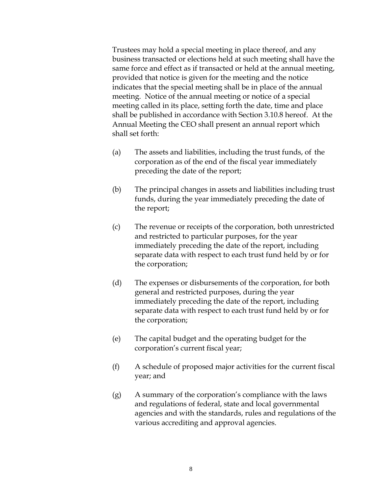Trustees may hold a special meeting in place thereof, and any business transacted or elections held at such meeting shall have the same force and effect as if transacted or held at the annual meeting, provided that notice is given for the meeting and the notice indicates that the special meeting shall be in place of the annual meeting. Notice of the annual meeting or notice of a special meeting called in its place, setting forth the date, time and place shall be published in accordance with Section 3.10.8 hereof. At the Annual Meeting the CEO shall present an annual report which shall set forth:

- (a) The assets and liabilities, including the trust funds, of the corporation as of the end of the fiscal year immediately preceding the date of the report;
- (b) The principal changes in assets and liabilities including trust funds, during the year immediately preceding the date of the report;
- (c) The revenue or receipts of the corporation, both unrestricted and restricted to particular purposes, for the year immediately preceding the date of the report, including separate data with respect to each trust fund held by or for the corporation;
- (d) The expenses or disbursements of the corporation, for both general and restricted purposes, during the year immediately preceding the date of the report, including separate data with respect to each trust fund held by or for the corporation;
- (e) The capital budget and the operating budget for the corporation's current fiscal year;
- (f) A schedule of proposed major activities for the current fiscal year; and
- (g) A summary of the corporation's compliance with the laws and regulations of federal, state and local governmental agencies and with the standards, rules and regulations of the various accrediting and approval agencies.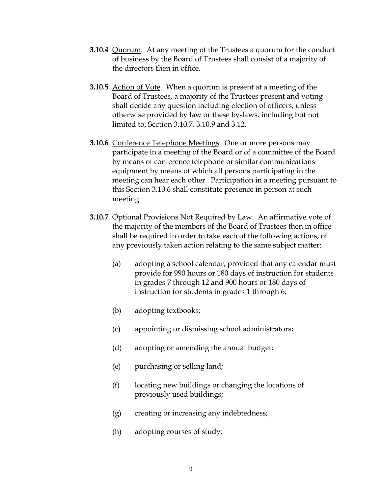- **3.10.4** Quorum. At any meeting of the Trustees a quorum for the conduct of business by the Board of Trustees shall consist of a majority of the directors then in office.
- **3.10.5** Action of Vote. When a quorum is present at a meeting of the Board of Trustees, a majority of the Trustees present and voting shall decide any question including election of officers, unless otherwise provided by law or these by-laws, including but not limited to, Section 3.10.7, 3.10.9 and 3.12.
- **3.10.6** Conference Telephone Meetings. One or more persons may participate in a meeting of the Board or of a committee of the Board by means of conference telephone or similar communications equipment by means of which all persons participating in the meeting can hear each other. Participation in a meeting pursuant to this Section 3.10.6 shall constitute presence in person at such meeting.
- **3.10.7** Optional Provisions Not Required by Law. An affirmative vote of the majority of the members of the Board of Trustees then in office shall be required in order to take each of the following actions, of any previously taken action relating to the same subject matter:
	- (a) adopting a school calendar, provided that any calendar must provide for 990 hours or 180 days of instruction for students in grades 7 through 12 and 900 hours or 180 days of instruction for students in grades 1 through 6;
	- (b) adopting textbooks;
	- (c) appointing or dismissing school administrators;
	- (d) adopting or amending the annual budget;
	- (e) purchasing or selling land;
	- (f) locating new buildings or changing the locations of previously used buildings;
	- (g) creating or increasing any indebtedness;
	- (h) adopting courses of study;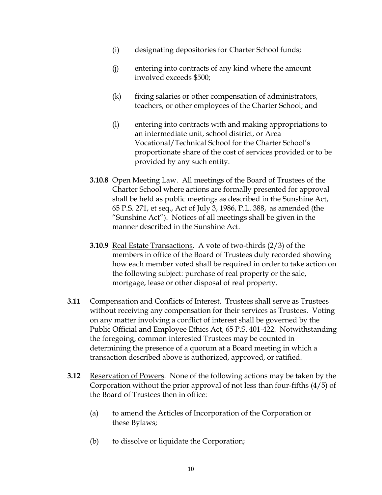- (i) designating depositories for Charter School funds;
- (j) entering into contracts of any kind where the amount involved exceeds \$500;
- (k) fixing salaries or other compensation of administrators, teachers, or other employees of the Charter School; and
- (l) entering into contracts with and making appropriations to an intermediate unit, school district, or Area Vocational/Technical School for the Charter School's proportionate share of the cost of services provided or to be provided by any such entity.
- **3.10.8** Open Meeting Law. All meetings of the Board of Trustees of the Charter School where actions are formally presented for approval shall be held as public meetings as described in the Sunshine Act, 65 P.S. 271, et seq., Act of July 3, 1986, P.L. 388, as amended (the "Sunshine Act"). Notices of all meetings shall be given in the manner described in the Sunshine Act.
- **3.10.9** Real Estate Transactions. A vote of two-thirds (2/3) of the members in office of the Board of Trustees duly recorded showing how each member voted shall be required in order to take action on the following subject: purchase of real property or the sale, mortgage, lease or other disposal of real property.
- **3.11** Compensation and Conflicts of Interest. Trustees shall serve as Trustees without receiving any compensation for their services as Trustees. Voting on any matter involving a conflict of interest shall be governed by the Public Official and Employee Ethics Act, 65 P.S. 401-422. Notwithstanding the foregoing, common interested Trustees may be counted in determining the presence of a quorum at a Board meeting in which a transaction described above is authorized, approved, or ratified.
- **3.12** Reservation of Powers. None of the following actions may be taken by the Corporation without the prior approval of not less than four-fifths (4/5) of the Board of Trustees then in office:
	- (a) to amend the Articles of Incorporation of the Corporation or these Bylaws;
	- (b) to dissolve or liquidate the Corporation;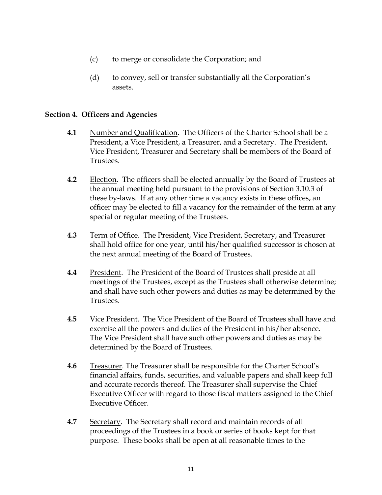- (c) to merge or consolidate the Corporation; and
- (d) to convey, sell or transfer substantially all the Corporation's assets.

## **Section 4. Officers and Agencies**

- **4.1** Number and Qualification. The Officers of the Charter School shall be a President, a Vice President, a Treasurer, and a Secretary. The President, Vice President, Treasurer and Secretary shall be members of the Board of Trustees.
- **4.2** Election. The officers shall be elected annually by the Board of Trustees at the annual meeting held pursuant to the provisions of Section 3.10.3 of these by-laws. If at any other time a vacancy exists in these offices, an officer may be elected to fill a vacancy for the remainder of the term at any special or regular meeting of the Trustees.
- **4.3** Term of Office. The President, Vice President, Secretary, and Treasurer shall hold office for one year, until his/her qualified successor is chosen at the next annual meeting of the Board of Trustees.
- **4.4** President. The President of the Board of Trustees shall preside at all meetings of the Trustees, except as the Trustees shall otherwise determine; and shall have such other powers and duties as may be determined by the Trustees.
- **4.5** Vice President. The Vice President of the Board of Trustees shall have and exercise all the powers and duties of the President in his/her absence. The Vice President shall have such other powers and duties as may be determined by the Board of Trustees.
- **4.6** Treasurer. The Treasurer shall be responsible for the Charter School's financial affairs, funds, securities, and valuable papers and shall keep full and accurate records thereof. The Treasurer shall supervise the Chief Executive Officer with regard to those fiscal matters assigned to the Chief Executive Officer.
- **4.7** Secretary. The Secretary shall record and maintain records of all proceedings of the Trustees in a book or series of books kept for that purpose. These books shall be open at all reasonable times to the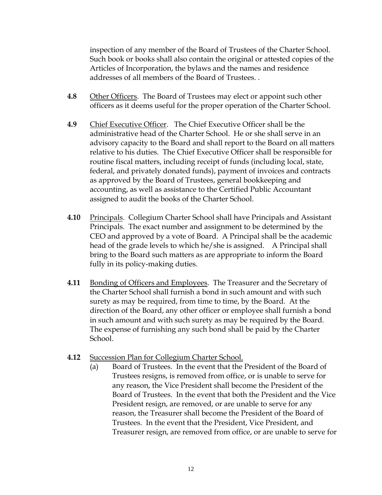inspection of any member of the Board of Trustees of the Charter School. Such book or books shall also contain the original or attested copies of the Articles of Incorporation, the bylaws and the names and residence addresses of all members of the Board of Trustees. .

- **4.8** Other Officers. The Board of Trustees may elect or appoint such other officers as it deems useful for the proper operation of the Charter School.
- **4.9** Chief Executive Officer. The Chief Executive Officer shall be the administrative head of the Charter School. He or she shall serve in an advisory capacity to the Board and shall report to the Board on all matters relative to his duties. The Chief Executive Officer shall be responsible for routine fiscal matters, including receipt of funds (including local, state, federal, and privately donated funds), payment of invoices and contracts as approved by the Board of Trustees, general bookkeeping and accounting, as well as assistance to the Certified Public Accountant assigned to audit the books of the Charter School.
- **4.10** Principals. Collegium Charter School shall have Principals and Assistant Principals. The exact number and assignment to be determined by the CEO and approved by a vote of Board. A Principal shall be the academic head of the grade levels to which he/she is assigned. A Principal shall bring to the Board such matters as are appropriate to inform the Board fully in its policy-making duties.
- **4.11** Bonding of Officers and Employees. The Treasurer and the Secretary of the Charter School shall furnish a bond in such amount and with such surety as may be required, from time to time, by the Board. At the direction of the Board, any other officer or employee shall furnish a bond in such amount and with such surety as may be required by the Board. The expense of furnishing any such bond shall be paid by the Charter School.
- **4.12** Succession Plan for Collegium Charter School.
	- (a) Board of Trustees. In the event that the President of the Board of Trustees resigns, is removed from office, or is unable to serve for any reason, the Vice President shall become the President of the Board of Trustees. In the event that both the President and the Vice President resign, are removed, or are unable to serve for any reason, the Treasurer shall become the President of the Board of Trustees. In the event that the President, Vice President, and Treasurer resign, are removed from office, or are unable to serve for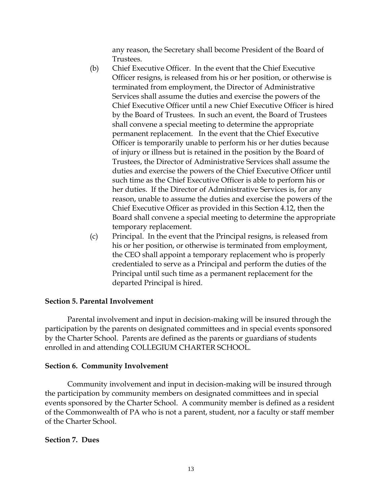any reason, the Secretary shall become President of the Board of Trustees.

- (b) Chief Executive Officer. In the event that the Chief Executive Officer resigns, is released from his or her position, or otherwise is terminated from employment, the Director of Administrative Services shall assume the duties and exercise the powers of the Chief Executive Officer until a new Chief Executive Officer is hired by the Board of Trustees. In such an event, the Board of Trustees shall convene a special meeting to determine the appropriate permanent replacement. In the event that the Chief Executive Officer is temporarily unable to perform his or her duties because of injury or illness but is retained in the position by the Board of Trustees, the Director of Administrative Services shall assume the duties and exercise the powers of the Chief Executive Officer until such time as the Chief Executive Officer is able to perform his or her duties. If the Director of Administrative Services is, for any reason, unable to assume the duties and exercise the powers of the Chief Executive Officer as provided in this Section 4.12, then the Board shall convene a special meeting to determine the appropriate temporary replacement.
- (c) Principal. In the event that the Principal resigns, is released from his or her position, or otherwise is terminated from employment, the CEO shall appoint a temporary replacement who is properly credentialed to serve as a Principal and perform the duties of the Principal until such time as a permanent replacement for the departed Principal is hired.

### **Section 5. Parental Involvement**

Parental involvement and input in decision-making will be insured through the participation by the parents on designated committees and in special events sponsored by the Charter School. Parents are defined as the parents or guardians of students enrolled in and attending COLLEGIUM CHARTER SCHOOL.

# **Section 6. Community Involvement**

Community involvement and input in decision-making will be insured through the participation by community members on designated committees and in special events sponsored by the Charter School. A community member is defined as a resident of the Commonwealth of PA who is not a parent, student, nor a faculty or staff member of the Charter School.

### **Section 7. Dues**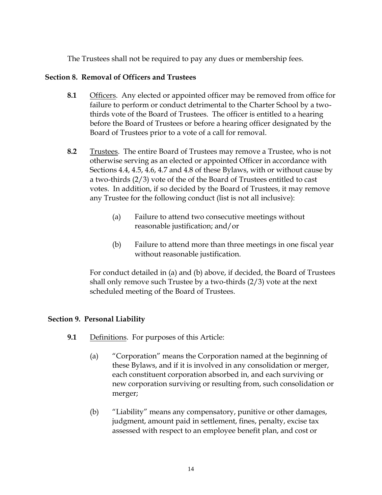The Trustees shall not be required to pay any dues or membership fees.

# **Section 8. Removal of Officers and Trustees**

- **8.1** Officers. Any elected or appointed officer may be removed from office for failure to perform or conduct detrimental to the Charter School by a twothirds vote of the Board of Trustees. The officer is entitled to a hearing before the Board of Trustees or before a hearing officer designated by the Board of Trustees prior to a vote of a call for removal.
- **8.2** Trustees. The entire Board of Trustees may remove a Trustee, who is not otherwise serving as an elected or appointed Officer in accordance with Sections 4.4, 4.5, 4.6, 4.7 and 4.8 of these Bylaws, with or without cause by a two-thirds (2/3) vote of the of the Board of Trustees entitled to cast votes. In addition, if so decided by the Board of Trustees, it may remove any Trustee for the following conduct (list is not all inclusive):
	- (a) Failure to attend two consecutive meetings without reasonable justification; and/or
	- (b) Failure to attend more than three meetings in one fiscal year without reasonable justification.

For conduct detailed in (a) and (b) above, if decided, the Board of Trustees shall only remove such Trustee by a two-thirds (2/3) vote at the next scheduled meeting of the Board of Trustees.

# **Section 9. Personal Liability**

- **9.1** Definitions. For purposes of this Article:
	- (a) "Corporation" means the Corporation named at the beginning of these Bylaws, and if it is involved in any consolidation or merger, each constituent corporation absorbed in, and each surviving or new corporation surviving or resulting from, such consolidation or merger;
	- (b) "Liability" means any compensatory, punitive or other damages, judgment, amount paid in settlement, fines, penalty, excise tax assessed with respect to an employee benefit plan, and cost or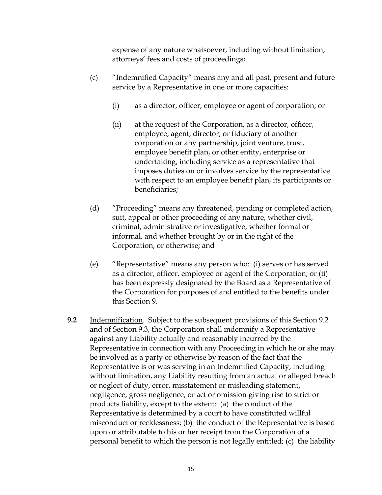expense of any nature whatsoever, including without limitation, attorneys' fees and costs of proceedings;

- (c) "Indemnified Capacity" means any and all past, present and future service by a Representative in one or more capacities:
	- (i) as a director, officer, employee or agent of corporation; or
	- (ii) at the request of the Corporation, as a director, officer, employee, agent, director, or fiduciary of another corporation or any partnership, joint venture, trust, employee benefit plan, or other entity, enterprise or undertaking, including service as a representative that imposes duties on or involves service by the representative with respect to an employee benefit plan, its participants or beneficiaries;
- (d) "Proceeding" means any threatened, pending or completed action, suit, appeal or other proceeding of any nature, whether civil, criminal, administrative or investigative, whether formal or informal, and whether brought by or in the right of the Corporation, or otherwise; and
- (e) "Representative" means any person who: (i) serves or has served as a director, officer, employee or agent of the Corporation; or (ii) has been expressly designated by the Board as a Representative of the Corporation for purposes of and entitled to the benefits under this Section 9.
- **9.2** Indemnification. Subject to the subsequent provisions of this Section 9.2 and of Section 9.3, the Corporation shall indemnify a Representative against any Liability actually and reasonably incurred by the Representative in connection with any Proceeding in which he or she may be involved as a party or otherwise by reason of the fact that the Representative is or was serving in an Indemnified Capacity, including without limitation, any Liability resulting from an actual or alleged breach or neglect of duty, error, misstatement or misleading statement, negligence, gross negligence, or act or omission giving rise to strict or products liability, except to the extent: (a) the conduct of the Representative is determined by a court to have constituted willful misconduct or recklessness; (b) the conduct of the Representative is based upon or attributable to his or her receipt from the Corporation of a personal benefit to which the person is not legally entitled; (c) the liability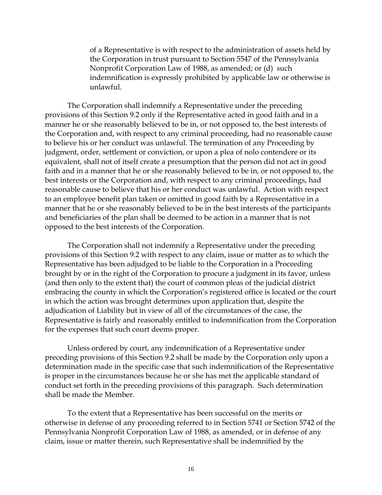of a Representative is with respect to the administration of assets held by the Corporation in trust pursuant to Section 5547 of the Pennsylvania Nonprofit Corporation Law of 1988, as amended; or (d) such indemnification is expressly prohibited by applicable law or otherwise is unlawful.

The Corporation shall indemnify a Representative under the preceding provisions of this Section 9.2 only if the Representative acted in good faith and in a manner he or she reasonably believed to be in, or not opposed to, the best interests of the Corporation and, with respect to any criminal proceeding, had no reasonable cause to believe his or her conduct was unlawful. The termination of any Proceeding by judgment, order, settlement or conviction, or upon a plea of nolo contendere or its equivalent, shall not of itself create a presumption that the person did not act in good faith and in a manner that he or she reasonably believed to be in, or not opposed to, the best interests or the Corporation and, with respect to any criminal proceedings, had reasonable cause to believe that his or her conduct was unlawful. Action with respect to an employee benefit plan taken or omitted in good faith by a Representative in a manner that he or she reasonably believed to be in the best interests of the participants and beneficiaries of the plan shall be deemed to be action in a manner that is not opposed to the best interests of the Corporation.

The Corporation shall not indemnify a Representative under the preceding provisions of this Section 9.2 with respect to any claim, issue or matter as to which the Representative has been adjudged to be liable to the Corporation in a Proceeding brought by or in the right of the Corporation to procure a judgment in its favor, unless (and then only to the extent that) the court of common pleas of the judicial district embracing the county in which the Corporation's registered office is located or the court in which the action was brought determines upon application that, despite the adjudication of Liability but in view of all of the circumstances of the case, the Representative is fairly and reasonably entitled to indemnification from the Corporation for the expenses that such court deems proper.

Unless ordered by court, any indemnification of a Representative under preceding provisions of this Section 9.2 shall be made by the Corporation only upon a determination made in the specific case that such indemnification of the Representative is proper in the circumstances because he or she has met the applicable standard of conduct set forth in the preceding provisions of this paragraph. Such determination shall be made the Member.

To the extent that a Representative has been successful on the merits or otherwise in defense of any proceeding referred to in Section 5741 or Section 5742 of the Pennsylvania Nonprofit Corporation Law of 1988, as amended, or in defense of any claim, issue or matter therein, such Representative shall be indemnified by the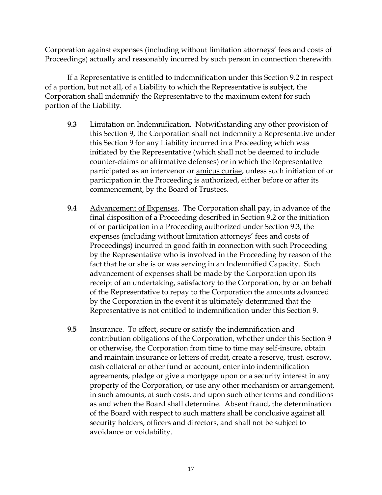Corporation against expenses (including without limitation attorneys' fees and costs of Proceedings) actually and reasonably incurred by such person in connection therewith.

If a Representative is entitled to indemnification under this Section 9.2 in respect of a portion, but not all, of a Liability to which the Representative is subject, the Corporation shall indemnify the Representative to the maximum extent for such portion of the Liability.

- **9.3** Limitation on Indemnification. Notwithstanding any other provision of this Section 9, the Corporation shall not indemnify a Representative under this Section 9 for any Liability incurred in a Proceeding which was initiated by the Representative (which shall not be deemed to include counter-claims or affirmative defenses) or in which the Representative participated as an intervenor or amicus curiae, unless such initiation of or participation in the Proceeding is authorized, either before or after its commencement, by the Board of Trustees.
- **9.4** Advancement of Expenses. The Corporation shall pay, in advance of the final disposition of a Proceeding described in Section 9.2 or the initiation of or participation in a Proceeding authorized under Section 9.3, the expenses (including without limitation attorneys' fees and costs of Proceedings) incurred in good faith in connection with such Proceeding by the Representative who is involved in the Proceeding by reason of the fact that he or she is or was serving in an Indemnified Capacity. Such advancement of expenses shall be made by the Corporation upon its receipt of an undertaking, satisfactory to the Corporation, by or on behalf of the Representative to repay to the Corporation the amounts advanced by the Corporation in the event it is ultimately determined that the Representative is not entitled to indemnification under this Section 9.
- **9.5** Insurance. To effect, secure or satisfy the indemnification and contribution obligations of the Corporation, whether under this Section 9 or otherwise, the Corporation from time to time may self-insure, obtain and maintain insurance or letters of credit, create a reserve, trust, escrow, cash collateral or other fund or account, enter into indemnification agreements, pledge or give a mortgage upon or a security interest in any property of the Corporation, or use any other mechanism or arrangement, in such amounts, at such costs, and upon such other terms and conditions as and when the Board shall determine. Absent fraud, the determination of the Board with respect to such matters shall be conclusive against all security holders, officers and directors, and shall not be subject to avoidance or voidability.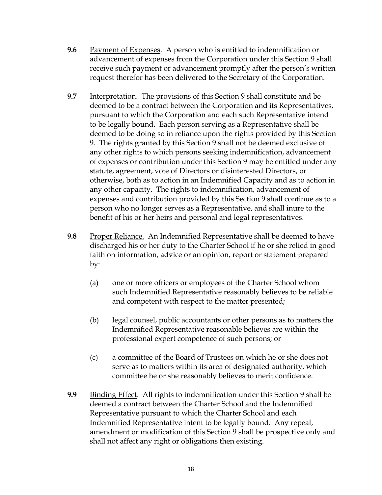- **9.6** Payment of Expenses. A person who is entitled to indemnification or advancement of expenses from the Corporation under this Section 9 shall receive such payment or advancement promptly after the person's written request therefor has been delivered to the Secretary of the Corporation.
- **9.7** Interpretation. The provisions of this Section 9 shall constitute and be deemed to be a contract between the Corporation and its Representatives, pursuant to which the Corporation and each such Representative intend to be legally bound. Each person serving as a Representative shall be deemed to be doing so in reliance upon the rights provided by this Section 9. The rights granted by this Section 9 shall not be deemed exclusive of any other rights to which persons seeking indemnification, advancement of expenses or contribution under this Section 9 may be entitled under any statute, agreement, vote of Directors or disinterested Directors, or otherwise, both as to action in an Indemnified Capacity and as to action in any other capacity. The rights to indemnification, advancement of expenses and contribution provided by this Section 9 shall continue as to a person who no longer serves as a Representative, and shall inure to the benefit of his or her heirs and personal and legal representatives.
- **9.8** Proper Reliance. An Indemnified Representative shall be deemed to have discharged his or her duty to the Charter School if he or she relied in good faith on information, advice or an opinion, report or statement prepared by:
	- (a) one or more officers or employees of the Charter School whom such Indemnified Representative reasonably believes to be reliable and competent with respect to the matter presented;
	- (b) legal counsel, public accountants or other persons as to matters the Indemnified Representative reasonable believes are within the professional expert competence of such persons; or
	- (c) a committee of the Board of Trustees on which he or she does not serve as to matters within its area of designated authority, which committee he or she reasonably believes to merit confidence.
- **9.9** Binding Effect. All rights to indemnification under this Section 9 shall be deemed a contract between the Charter School and the Indemnified Representative pursuant to which the Charter School and each Indemnified Representative intent to be legally bound. Any repeal, amendment or modification of this Section 9 shall be prospective only and shall not affect any right or obligations then existing.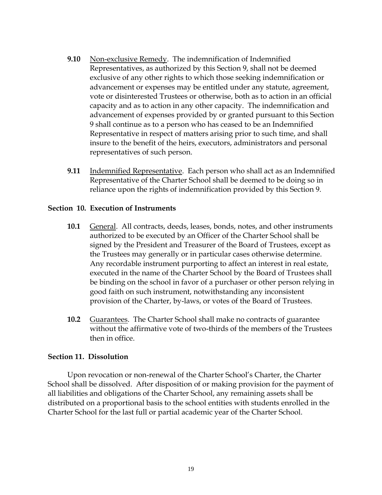- **9.10** Non-exclusive Remedy. The indemnification of Indemnified Representatives, as authorized by this Section 9, shall not be deemed exclusive of any other rights to which those seeking indemnification or advancement or expenses may be entitled under any statute, agreement, vote or disinterested Trustees or otherwise, both as to action in an official capacity and as to action in any other capacity. The indemnification and advancement of expenses provided by or granted pursuant to this Section 9 shall continue as to a person who has ceased to be an Indemnified Representative in respect of matters arising prior to such time, and shall insure to the benefit of the heirs, executors, administrators and personal representatives of such person.
- **9.11** Indemnified Representative. Each person who shall act as an Indemnified Representative of the Charter School shall be deemed to be doing so in reliance upon the rights of indemnification provided by this Section 9.

### **Section 10. Execution of Instruments**

- **10.1** General. All contracts, deeds, leases, bonds, notes, and other instruments authorized to be executed by an Officer of the Charter School shall be signed by the President and Treasurer of the Board of Trustees, except as the Trustees may generally or in particular cases otherwise determine. Any recordable instrument purporting to affect an interest in real estate, executed in the name of the Charter School by the Board of Trustees shall be binding on the school in favor of a purchaser or other person relying in good faith on such instrument, notwithstanding any inconsistent provision of the Charter, by-laws, or votes of the Board of Trustees.
- **10.2** Guarantees.The Charter School shall make no contracts of guarantee without the affirmative vote of two-thirds of the members of the Trustees then in office.

### **Section 11. Dissolution**

Upon revocation or non-renewal of the Charter School's Charter, the Charter School shall be dissolved. After disposition of or making provision for the payment of all liabilities and obligations of the Charter School, any remaining assets shall be distributed on a proportional basis to the school entities with students enrolled in the Charter School for the last full or partial academic year of the Charter School.